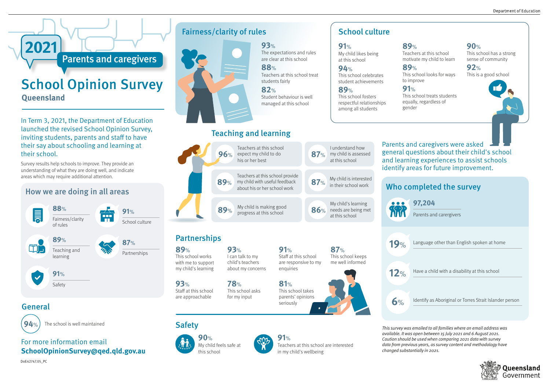## Who completed the survey

Parents and carergivers

19% Language other than English spoken at home

12% Have a child with a disability at this school

**6**% Identify as Aboriginal or Torres Strait Islander person

#### **97,204**

This survey was emailed to all families where an email address was available. It was open between 15 July 2021 and 6 August 2021. Caution should be used when comparing 2021 data with survey data from previous years, as survey content and methodology have changed substantially in 2021.



## Teaching and learning

In Term 3, 2021, the Department of Education launched the revised School Opinion Survey, inviting students, parents and staff to have their say about schooling and learning at their school.

Survey results help schools to improve. They provide an understanding of what they are doing well, and indicate areas which may require additional attention.

Parents and caregivers

# School Opinion Survey **Queensland**

**2021**



**94**% The school is well maintained

**93**%

The expectations and rules are clear at this school

**88**%

Teachers at this school treat

students fairly

**82**%

Student behaviour is well managed at this school

## Fairness/clarity of rules



### How we are doing in all areas

Safety

**88**% **91**% ∥≣ 888 Fairness/clarity m School culture of rules **89**% **87**% m Teaching and Partnerships learning **91**%

> **90**% My child feels safe at this school



**91**% Teachers at this school are interested in my child's wellbeing

# School culture

General





#### For more information email **SchoolOpinionSurvey@qed.qld.gov.au**

**91**%

My child likes being at this school

**94**%

This school celebrates student achievements

**89**%

This school fosters respectful relationships among all students

#### **89**%

Teachers at this school motivate my child to learn

**89**%

This school looks for ways to improve

This school treats students equally, regardless of

**91**% gender

**90**% This school has a strong sense of community

**92**% This is a good school

DoE42747.05\_PC

Parents and caregivers were asked general questions about their child's school and learning experiences to assist schools identify areas for future improvement.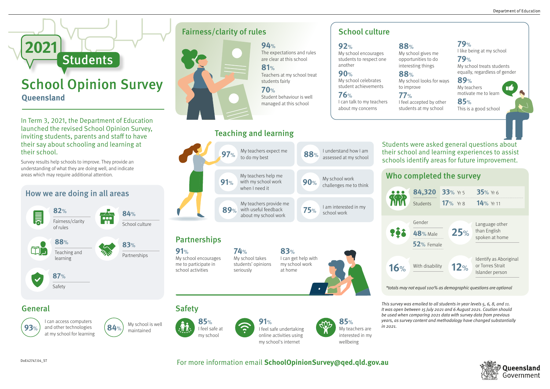## Who completed the survey

This survey was emailed to all students in year levels 5, 6, 8, and 11. It was open between 15 July 2021 and 6 August 2021. Caution should be used when comparing 2021 data with survey data from previous years, as survey content and methodology have changed substantially in 2021.

| 84,320          | 33% Yr 5  | 35% Yr 6                            |
|-----------------|-----------|-------------------------------------|
| <b>Students</b> | 17% $Yr8$ | 14% Yr 11                           |
|                 |           |                                     |
| Gender          |           | Language other                      |
| <b>48%</b> Male | 25%       | than English<br>spoken at home      |
| $52%$ Female    |           |                                     |
|                 |           | Identify as Aboriginal              |
| With disability | 12%       | or Torres Strait<br>Islander person |

# Teaching and learning

In Term 3, 2021, the Department of Education launched the revised School Opinion Survey, inviting students, parents and staff to have their say about schooling and learning at their school.

 $\overline{97\%}$  My teachers expect me **88**% Lunderstand how Lam assessed at my school My teachers help me My school work **91**% with my school work **90**% challenges me to think when I need it  $\bullet \bullet \bullet$ **KRR** My teachers provide me I am interested in my with useful feedback **75**% **89**% school work about my school work  $?^{21}$ **Partnerships 91**% **83**% **74**% My school encourages My school takes I can get help with me to participate in students' opinions my school work 16% school activities seriously at home

Survey results help schools to improve. They provide an understanding of what they are doing well, and indicate areas which may require additional attention.

# School Opinion Survey **Queensland**

**Students** 

**2021**

**94**%



# Fairness/clarity of rules

#### How we are doing in all areas

Safety **87**%

m

**85**% **91**%

I feel safe undertaking online activities using my school's internet



Fairness/clarity

of rules

**82**%

School culture

**84**%

Én

Teaching and learning

**88**%

Partnerships

**83**%

**92**%

another **90**%

My school celebrates

My school encourages students to respect one **88**%

student achievements

**76**% I can talk to my teachers about my concerns

# School culture



**88**%

My school looks for ways

to improve **77**% I feel accepted by other students at my school





I can access computers and other technologies at my school for learning





For more information email **SchoolOpinionSurvey@qed.qld.gov.au**

**79**% I like being at my school

**79**% My school treats students equally, regardless of gender

**89**% My teachers motivate me to learn

**85**% This is a good school

Students were asked general questions about their school and learning experiences to assist schools identify areas for future improvement.

I feel safe at my school

\*totals may not equal 100% as demographic questions are optional

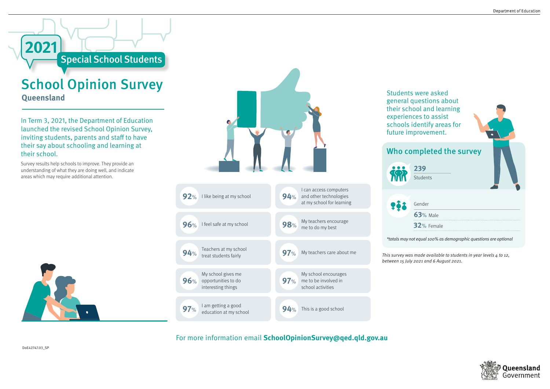In Term 3, 2021, the Department of Education launched the revised School Opinion Survey, inviting students, parents and staff to have their say about schooling and learning at their school.

Survey results help schools to improve. They provide an understanding of what they are doing well, and indicate areas which may require additional attention.



Special School Students

This survey was made available to students in year levels  $4$  to 12, between 15 July 2021 and 6 August 2021.





# School Opinion Survey **Queensland**

**2021**

Gender

**63**% Male **32**% Female

Students

#### **239**

Students were asked general questions about their school and learning experiences to assist schools identify areas for future improvement.



For more information email **SchoolOpinionSurvey@qed.qld.gov.au**

\*totals may not equal 100% as demographic questions are optional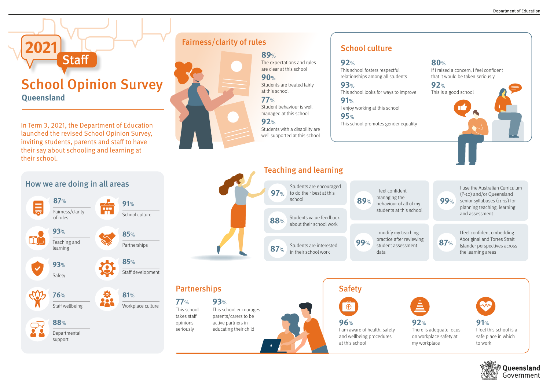In Term 3, 2021, the Department of Education launched the revised School Opinion Survey, inviting students, parents and staff to have their say about schooling and learning at their school.

# School Opinion Survey **Queensland**

**Staff** 

**2022** 

**89**%

The expectations and rules are clear at this school

**90**%

Students are treated fairly

at this school

**77**%

Student behaviour is well managed at this school

**92**%

Students with a disability are well supported at this school

### Fairness/clarity of rules

**92**% This school fosters respectful relationships among all students

**93**% This school looks for ways to improve

**91**% I enjoy working at this school

**95**% This school promotes gender equality

## School culture

## How we are doing in all areas

## **77**% Partnerships

**96**%

I am aware of health, safety and wellbeing procedures

at this school

There is adequate focus on workplace safety at







**Oueensland** Government

Teaching and learning









This school takes staff opinions seriously

This school encourages parents/carers to be active partners in educating their child